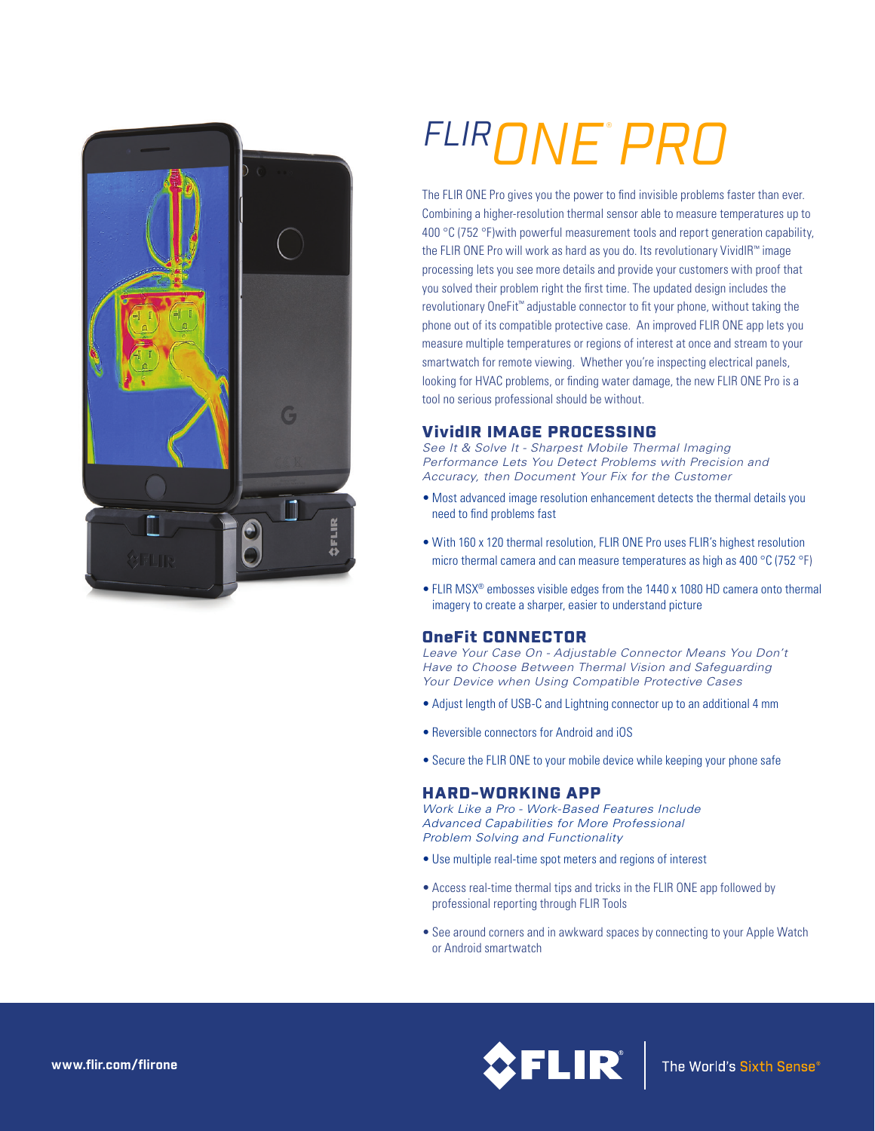

# *FLIRONE PRO* ®

The FLIR ONE Pro gives you the power to find invisible problems faster than ever. Combining a higher-resolution thermal sensor able to measure temperatures up to 400 °C (752 °F) with powerful measurement tools and report generation capability, the FLIR ONE Pro will work as hard as you do. Its revolutionary VividIR™ image processing lets you see more details and provide your customers with proof that you solved their problem right the first time. The updated design includes the revolutionary OneFit™ adjustable connector to fit your phone, without taking the phone out of its compatible protective case. An improved FLIR ONE app lets you measure multiple temperatures or regions of interest at once and stream to your smartwatch for remote viewing. Whether you're inspecting electrical panels, looking for HVAC problems, or finding water damage, the new FLIR ONE Pro is a tool no serious professional should be without.

# VividIR IMAGE PROCESSING

*See It & Solve It - Sharpest Mobile Thermal Imaging Performance Lets You Detect Problems with Precision and Accuracy, then Document Your Fix for the Customer*

- Most advanced image resolution enhancement detects the thermal details you need to find problems fast
- With 160 x 120 thermal resolution, FLIR ONE Pro uses FLIR's highest resolution micro thermal camera and can measure temperatures as high as 400 °C (752 °F)
- FLIR MSX® embosses visible edges from the 1440 x 1080 HD camera onto thermal imagery to create a sharper, easier to understand picture

## OneFit CONNECTOR

*Leave Your Case On - Adjustable Connector Means You Don't Have to Choose Between Thermal Vision and Safeguarding Your Device when Using Compatible Protective Cases*

- Adjust length of USB-C and Lightning connector up to an additional 4 mm
- Reversible connectors for Android and iOS
- Secure the FLIR ONE to your mobile device while keeping your phone safe

## HARD-WORKING APP

*Work Like a Pro - Work-Based Features Include Advanced Capabilities for More Professional Problem Solving and Functionality*

- Use multiple real-time spot meters and regions of interest
- Access real-time thermal tips and tricks in the FLIR ONE app followed by professional reporting through FLIR Tools
- See around corners and in awkward spaces by connecting to your Apple Watch or Android smartwatch